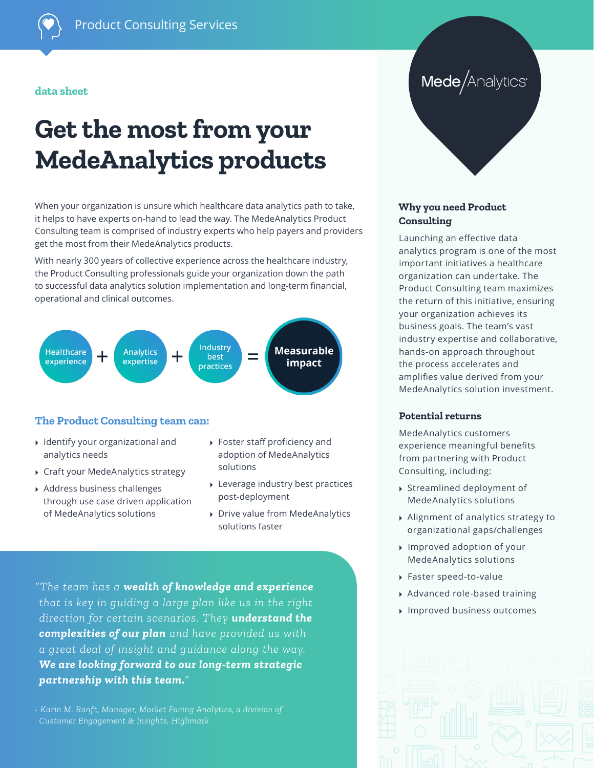#### **data sheet**

# **Get the most from your MedeAnalytics products**

When your organization is unsure which healthcare data analytics path to take, it helps to have experts on-hand to lead the way. The MedeAnalytics Product Consulting team is comprised of industry experts who help payers and providers get the most from their MedeAnalytics products.

With nearly 300 years of collective experience across the healthcare industry, the Product Consulting professionals guide your organization down the path to successful data analytics solution implementation and long-term financial, operational and clinical outcomes.



#### **The Product Consulting team can:**

- ▸ Identify your organizational and analytics needs
- ▸ Craft your MedeAnalytics strategy
- ▸ Address business challenges through use case driven application of MedeAnalytics solutions
- ▸ Foster staff proficiency and adoption of MedeAnalytics solutions
- ▸ Leverage industry best practices post-deployment
- ▸ Drive value from MedeAnalytics solutions faster

*"The team has a wealth of knowledge and experience that is key in guiding a large plan like us in the right direction for certain scenarios. They understand the complexities of our plan and have provided us with a great deal of insight and guidance along the way. We are looking forward to our long-term strategic partnership with this team."* 

*- Karin M. Ranft, Manager, Market Facing Analytics, a division of Customer Engagement & Insights, Highmark*

## Mede/Analytics®

#### **Why you need Product Consulting**

Launching an effective data analytics program is one of the most important initiatives a healthcare organization can undertake. The Product Consulting team maximizes the return of this initiative, ensuring your organization achieves its business goals. The team's vast industry expertise and collaborative, hands-on approach throughout the process accelerates and amplifies value derived from your MedeAnalytics solution investment.

#### **Potential returns**

MedeAnalytics customers experience meaningful benefits from partnering with Product Consulting, including:

- ▸ Streamlined deployment of MedeAnalytics solutions
- ▸ Alignment of analytics strategy to organizational gaps/challenges
- ▸ Improved adoption of your MedeAnalytics solutions
- ▸ Faster speed-to-value
- ▸ Advanced role-based training
- ▸ Improved business outcomes